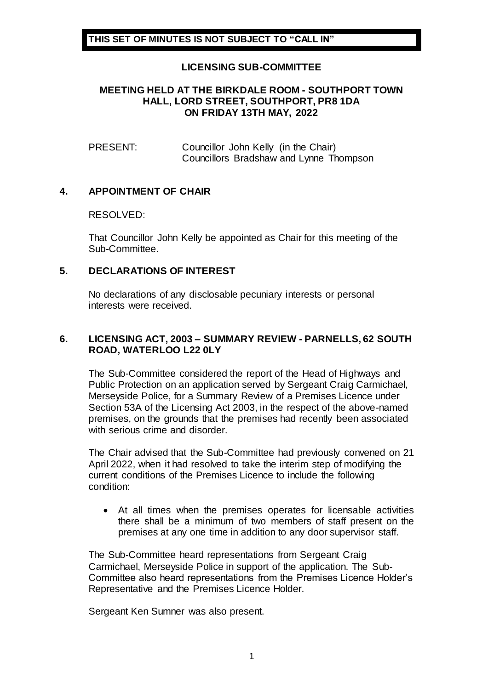# **LICENSING SUB-COMMITTEE**

#### **MEETING HELD AT THE BIRKDALE ROOM - SOUTHPORT TOWN HALL, LORD STREET, SOUTHPORT, PR8 1DA ON FRIDAY 13TH MAY, 2022**

PRESENT: Councillor John Kelly (in the Chair) Councillors Bradshaw and Lynne Thompson

## **4. APPOINTMENT OF CHAIR**

#### RESOLVED:

That Councillor John Kelly be appointed as Chair for this meeting of the Sub-Committee.

## **5. DECLARATIONS OF INTEREST**

No declarations of any disclosable pecuniary interests or personal interests were received.

## **6. LICENSING ACT, 2003 – SUMMARY REVIEW - PARNELLS, 62 SOUTH ROAD, WATERLOO L22 0LY**

The Sub-Committee considered the report of the Head of Highways and Public Protection on an application served by Sergeant Craig Carmichael, Merseyside Police, for a Summary Review of a Premises Licence under Section 53A of the Licensing Act 2003, in the respect of the above-named premises, on the grounds that the premises had recently been associated with serious crime and disorder.

The Chair advised that the Sub-Committee had previously convened on 21 April 2022, when it had resolved to take the interim step of modifying the current conditions of the Premises Licence to include the following condition:

 At all times when the premises operates for licensable activities there shall be a minimum of two members of staff present on the premises at any one time in addition to any door supervisor staff.

The Sub-Committee heard representations from Sergeant Craig Carmichael, Merseyside Police in support of the application. The Sub-Committee also heard representations from the Premises Licence Holder's Representative and the Premises Licence Holder.

Sergeant Ken Sumner was also present.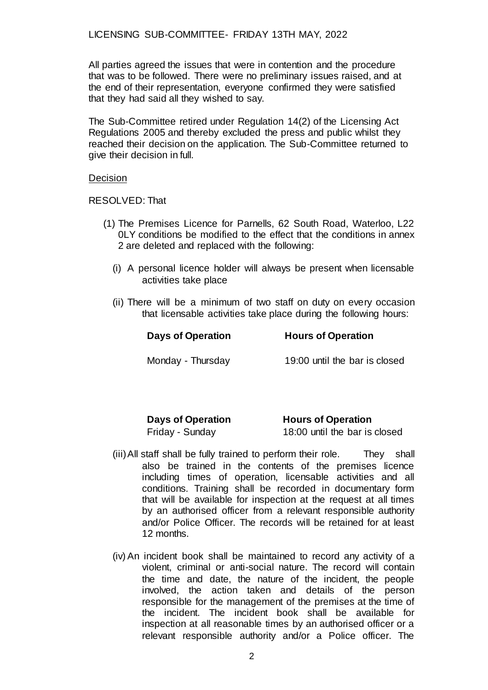LICENSING SUB-COMMITTEE- FRIDAY 13TH MAY, 2022

All parties agreed the issues that were in contention and the procedure that was to be followed. There were no preliminary issues raised, and at the end of their representation, everyone confirmed they were satisfied that they had said all they wished to say.

The Sub-Committee retired under Regulation 14(2) of the Licensing Act Regulations 2005 and thereby excluded the press and public whilst they reached their decision on the application. The Sub-Committee returned to give their decision in full.

#### Decision

RESOLVED: That

- (1) The Premises Licence for Parnells, 62 South Road, Waterloo, L22 0LY conditions be modified to the effect that the conditions in annex 2 are deleted and replaced with the following:
	- (i) A personal licence holder will always be present when licensable activities take place
	- (ii) There will be a minimum of two staff on duty on every occasion that licensable activities take place during the following hours:

| <b>Days of Operation</b> | <b>Hours of Operation</b>     |
|--------------------------|-------------------------------|
| Monday - Thursday        | 19:00 until the bar is closed |

| <b>Days of Operation</b> | <b>Hours of Operation</b>     |
|--------------------------|-------------------------------|
| Friday - Sunday          | 18:00 until the bar is closed |

- (iii)All staff shall be fully trained to perform their role. They shall also be trained in the contents of the premises licence including times of operation, licensable activities and all conditions. Training shall be recorded in documentary form that will be available for inspection at the request at all times by an authorised officer from a relevant responsible authority and/or Police Officer. The records will be retained for at least 12 months.
- (iv) An incident book shall be maintained to record any activity of a violent, criminal or anti-social nature. The record will contain the time and date, the nature of the incident, the people involved, the action taken and details of the person responsible for the management of the premises at the time of the incident. The incident book shall be available for inspection at all reasonable times by an authorised officer or a relevant responsible authority and/or a Police officer. The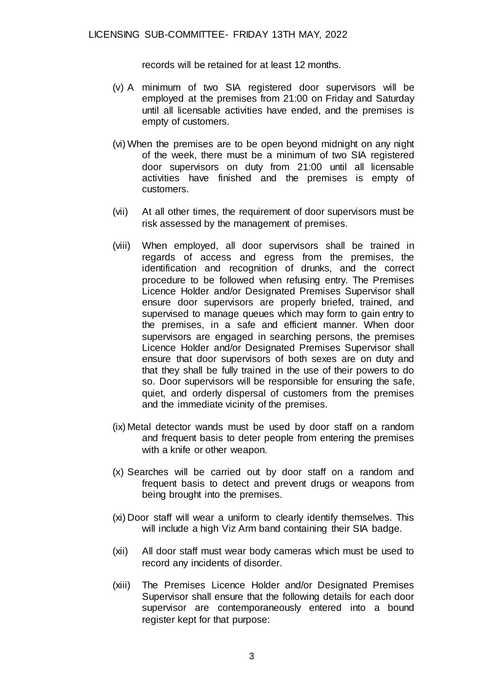records will be retained for at least 12 months.

- (v) A minimum of two SIA registered door supervisors will be employed at the premises from 21:00 on Friday and Saturday until all licensable activities have ended, and the premises is empty of customers.
- (vi) When the premises are to be open beyond midnight on any night of the week, there must be a minimum of two SIA registered door supervisors on duty from 21:00 until all licensable activities have finished and the premises is empty of customers.
- (vii) At all other times, the requirement of door supervisors must be risk assessed by the management of premises.
- (viii) When employed, all door supervisors shall be trained in regards of access and egress from the premises, the identification and recognition of drunks, and the correct procedure to be followed when refusing entry. The Premises Licence Holder and/or Designated Premises Supervisor shall ensure door supervisors are properly briefed, trained, and supervised to manage queues which may form to gain entry to the premises, in a safe and efficient manner. When door supervisors are engaged in searching persons, the premises Licence Holder and/or Designated Premises Supervisor shall ensure that door supervisors of both sexes are on duty and that they shall be fully trained in the use of their powers to do so. Door supervisors will be responsible for ensuring the safe, quiet, and orderly dispersal of customers from the premises and the immediate vicinity of the premises.
- (ix) Metal detector wands must be used by door staff on a random and frequent basis to deter people from entering the premises with a knife or other weapon.
- (x) Searches will be carried out by door staff on a random and frequent basis to detect and prevent drugs or weapons from being brought into the premises.
- (xi) Door staff will wear a uniform to clearly identify themselves. This will include a high Viz Arm band containing their SIA badge.
- (xii) All door staff must wear body cameras which must be used to record any incidents of disorder.
- (xiii) The Premises Licence Holder and/or Designated Premises Supervisor shall ensure that the following details for each door supervisor are contemporaneously entered into a bound register kept for that purpose: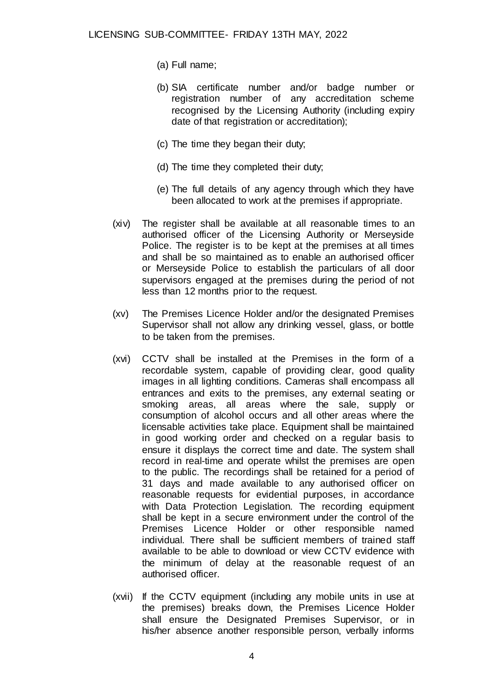- (a) Full name;
- (b) SIA certificate number and/or badge number or registration number of any accreditation scheme recognised by the Licensing Authority (including expiry date of that registration or accreditation);
- (c) The time they began their duty;
- (d) The time they completed their duty;
- (e) The full details of any agency through which they have been allocated to work at the premises if appropriate.
- (xiv) The register shall be available at all reasonable times to an authorised officer of the Licensing Authority or Merseyside Police. The register is to be kept at the premises at all times and shall be so maintained as to enable an authorised officer or Merseyside Police to establish the particulars of all door supervisors engaged at the premises during the period of not less than 12 months prior to the request.
- (xv) The Premises Licence Holder and/or the designated Premises Supervisor shall not allow any drinking vessel, glass, or bottle to be taken from the premises.
- (xvi) CCTV shall be installed at the Premises in the form of a recordable system, capable of providing clear, good quality images in all lighting conditions. Cameras shall encompass all entrances and exits to the premises, any external seating or smoking areas, all areas where the sale, supply or consumption of alcohol occurs and all other areas where the licensable activities take place. Equipment shall be maintained in good working order and checked on a regular basis to ensure it displays the correct time and date. The system shall record in real-time and operate whilst the premises are open to the public. The recordings shall be retained for a period of 31 days and made available to any authorised officer on reasonable requests for evidential purposes, in accordance with Data Protection Legislation. The recording equipment shall be kept in a secure environment under the control of the Premises Licence Holder or other responsible named individual. There shall be sufficient members of trained staff available to be able to download or view CCTV evidence with the minimum of delay at the reasonable request of an authorised officer.
- (xvii) If the CCTV equipment (including any mobile units in use at the premises) breaks down, the Premises Licence Holder shall ensure the Designated Premises Supervisor, or in his/her absence another responsible person, verbally informs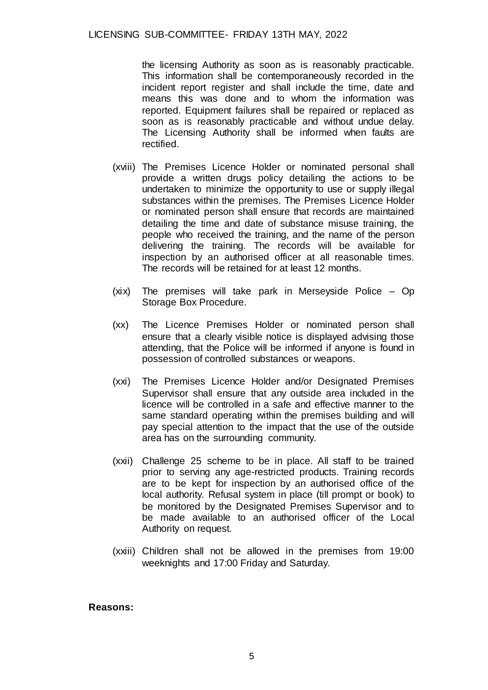### LICENSING SUB-COMMITTEE- FRIDAY 13TH MAY, 2022

the licensing Authority as soon as is reasonably practicable. This information shall be contemporaneously recorded in the incident report register and shall include the time, date and means this was done and to whom the information was reported. Equipment failures shall be repaired or replaced as soon as is reasonably practicable and without undue delay. The Licensing Authority shall be informed when faults are rectified.

- (xviii) The Premises Licence Holder or nominated personal shall provide a written drugs policy detailing the actions to be undertaken to minimize the opportunity to use or supply illegal substances within the premises. The Premises Licence Holder or nominated person shall ensure that records are maintained detailing the time and date of substance misuse training, the people who received the training, and the name of the person delivering the training. The records will be available for inspection by an authorised officer at all reasonable times. The records will be retained for at least 12 months.
- (xix) The premises will take park in Merseyside Police Op Storage Box Procedure.
- (xx) The Licence Premises Holder or nominated person shall ensure that a clearly visible notice is displayed advising those attending, that the Police will be informed if anyone is found in possession of controlled substances or weapons.
- (xxi) The Premises Licence Holder and/or Designated Premises Supervisor shall ensure that any outside area included in the licence will be controlled in a safe and effective manner to the same standard operating within the premises building and will pay special attention to the impact that the use of the outside area has on the surrounding community.
- (xxii) Challenge 25 scheme to be in place. All staff to be trained prior to serving any age-restricted products. Training records are to be kept for inspection by an authorised office of the local authority. Refusal system in place (till prompt or book) to be monitored by the Designated Premises Supervisor and to be made available to an authorised officer of the Local Authority on request.
- (xxiii) Children shall not be allowed in the premises from 19:00 weeknights and 17:00 Friday and Saturday.

#### **Reasons:**